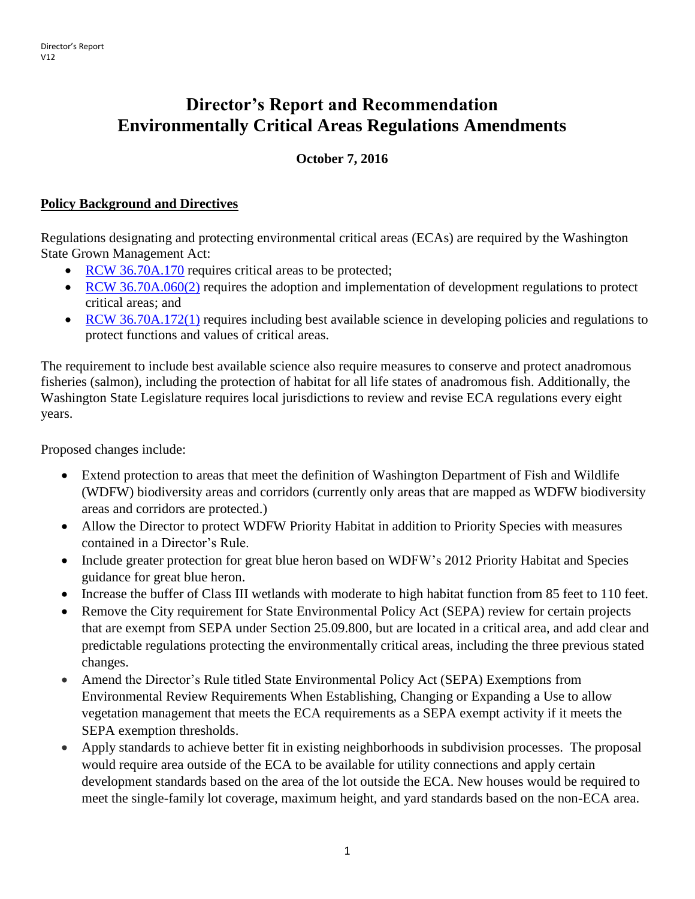# **Director's Report and Recommendation Environmentally Critical Areas Regulations Amendments**

**October 7, 2016**

### **Policy Background and Directives**

Regulations designating and protecting environmental critical areas (ECAs) are required by the Washington State Grown Management Act:

- [RCW 36.70A.170](http://apps.leg.wa.gov/rcw/default.aspx?cite=36.70A.170) requires critical areas to be protected;
- [RCW 36.70A.060\(2\)](http://apps.leg.wa.gov/RCW/default.aspx?cite=36.70A.060) requires the adoption and implementation of development regulations to protect critical areas; and
- [RCW 36.70A.172\(1\)](http://apps.leg.wa.gov/RCW/default.aspx?cite=36.70A.172) requires including best available science in developing policies and regulations to protect functions and values of critical areas.

The requirement to include best available science also require measures to conserve and protect anadromous fisheries (salmon), including the protection of habitat for all life states of anadromous fish. Additionally, the Washington State Legislature requires local jurisdictions to review and revise ECA regulations every eight years.

Proposed changes include:

- Extend protection to areas that meet the definition of Washington Department of Fish and Wildlife (WDFW) biodiversity areas and corridors (currently only areas that are mapped as WDFW biodiversity areas and corridors are protected.)
- Allow the Director to protect WDFW Priority Habitat in addition to Priority Species with measures contained in a Director's Rule.
- Include greater protection for great blue heron based on WDFW's 2012 Priority Habitat and Species guidance for great blue heron.
- Increase the buffer of Class III wetlands with moderate to high habitat function from 85 feet to 110 feet.
- Remove the City requirement for State Environmental Policy Act (SEPA) review for certain projects that are exempt from SEPA under Section 25.09.800, but are located in a critical area, and add clear and predictable regulations protecting the environmentally critical areas, including the three previous stated changes.
- Amend the Director's Rule titled State Environmental Policy Act (SEPA) Exemptions from Environmental Review Requirements When Establishing, Changing or Expanding a Use to allow vegetation management that meets the ECA requirements as a SEPA exempt activity if it meets the SEPA exemption thresholds.
- Apply standards to achieve better fit in existing neighborhoods in subdivision processes. The proposal would require area outside of the ECA to be available for utility connections and apply certain development standards based on the area of the lot outside the ECA. New houses would be required to meet the single-family lot coverage, maximum height, and yard standards based on the non-ECA area.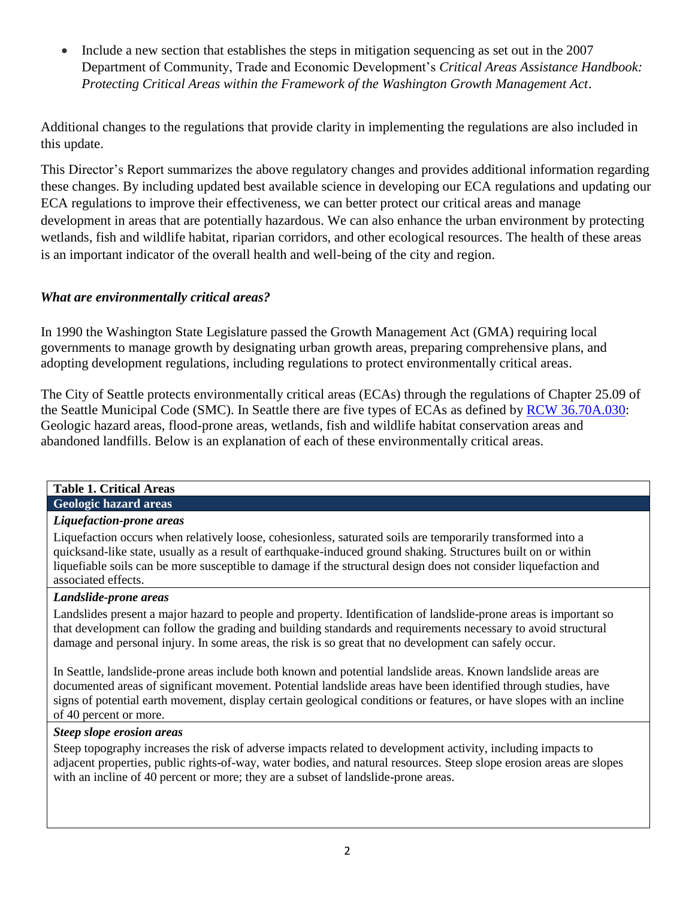Include a new section that establishes the steps in mitigation sequencing as set out in the 2007 Department of Community, Trade and Economic Development's *Critical Areas Assistance Handbook: Protecting Critical Areas within the Framework of the Washington Growth Management Act*.

Additional changes to the regulations that provide clarity in implementing the regulations are also included in this update.

This Director's Report summarizes the above regulatory changes and provides additional information regarding these changes. By including updated best available science in developing our ECA regulations and updating our ECA regulations to improve their effectiveness, we can better protect our critical areas and manage development in areas that are potentially hazardous. We can also enhance the urban environment by protecting wetlands, fish and wildlife habitat, riparian corridors, and other ecological resources. The health of these areas is an important indicator of the overall health and well-being of the city and region.

# *What are environmentally critical areas?*

In 1990 the Washington State Legislature passed the Growth Management Act (GMA) requiring local governments to manage growth by designating urban growth areas, preparing comprehensive plans, and adopting development regulations, including regulations to protect environmentally critical areas.

The City of Seattle protects environmentally critical areas (ECAs) through the regulations of Chapter 25.09 of the Seattle Municipal Code (SMC). In Seattle there are five types of ECAs as defined by [RCW 36.70A.030:](http://apps.leg.wa.gov/RCW/default.aspx?cite=36.70A.030) Geologic hazard areas, flood-prone areas, wetlands, fish and wildlife habitat conservation areas and abandoned landfills. Below is an explanation of each of these environmentally critical areas.

| Table 1. Critical Areas         |  |
|---------------------------------|--|
| Geologic hazard areas           |  |
| <i>Liquefaction-prone areas</i> |  |

Liquefaction occurs when relatively loose, cohesionless, saturated soils are temporarily transformed into a quicksand-like state, usually as a result of earthquake-induced ground shaking. Structures built on or within liquefiable soils can be more susceptible to damage if the structural design does not consider liquefaction and associated effects.

### *Landslide-prone areas*

Landslides present a major hazard to people and property. Identification of landslide-prone areas is important so that development can follow the grading and building standards and requirements necessary to avoid structural damage and personal injury. In some areas, the risk is so great that no development can safely occur.

In Seattle, landslide-prone areas include both known and potential landslide areas. Known landslide areas are documented areas of significant movement. Potential landslide areas have been identified through studies, have signs of potential earth movement, display certain geological conditions or features, or have slopes with an incline of 40 percent or more.

### *Steep slope erosion areas*

Steep topography increases the risk of adverse impacts related to development activity, including impacts to adjacent properties, public rights-of-way, water bodies, and natural resources. Steep slope erosion areas are slopes with an incline of 40 percent or more; they are a subset of landslide-prone areas.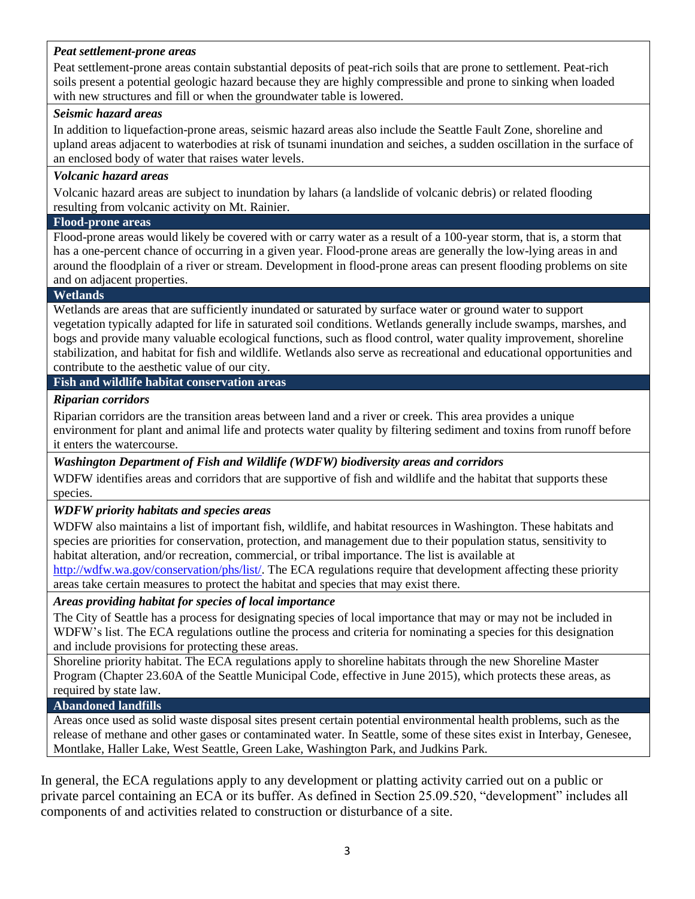#### *Peat settlement-prone areas*

Peat settlement-prone areas contain substantial deposits of peat-rich soils that are prone to settlement. Peat-rich soils present a potential geologic hazard because they are highly compressible and prone to sinking when loaded with new structures and fill or when the groundwater table is lowered.

### *Seismic hazard areas*

In addition to liquefaction-prone areas, seismic hazard areas also include the Seattle Fault Zone, shoreline and upland areas adjacent to waterbodies at risk of tsunami inundation and seiches, a sudden oscillation in the surface of an enclosed body of water that raises water levels.

#### *Volcanic hazard areas*

Volcanic hazard areas are subject to inundation by lahars (a landslide of volcanic debris) or related flooding resulting from volcanic activity on Mt. Rainier.

### **Flood-prone areas**

Flood-prone areas would likely be covered with or carry water as a result of a 100-year storm, that is, a storm that has a one-percent chance of occurring in a given year. Flood-prone areas are generally the low-lying areas in and around the floodplain of a river or stream. Development in flood-prone areas can present flooding problems on site and on adjacent properties.

#### **Wetlands**

Wetlands are areas that are sufficiently inundated or saturated by surface water or ground water to support vegetation typically adapted for life in saturated soil conditions. Wetlands generally include swamps, marshes, and bogs and provide many valuable ecological functions, such as flood control, water quality improvement, shoreline stabilization, and habitat for fish and wildlife. Wetlands also serve as recreational and educational opportunities and contribute to the aesthetic value of our city.

# **Fish and wildlife habitat conservation areas**

#### *Riparian corridors*

Riparian corridors are the transition areas between land and a river or creek. This area provides a unique environment for plant and animal life and protects water quality by filtering sediment and toxins from runoff before it enters the watercourse.

#### *Washington Department of Fish and Wildlife (WDFW) biodiversity areas and corridors*

WDFW identifies areas and corridors that are supportive of fish and wildlife and the habitat that supports these species.

#### *WDFW priority habitats and species areas*

WDFW also maintains a list of important fish, wildlife, and habitat resources in Washington. These habitats and species are priorities for conservation, protection, and management due to their population status, sensitivity to habitat alteration, and/or recreation, commercial, or tribal importance. The list is available at

[http://wdfw.wa.gov/conservation/phs/list/.](http://wdfw.wa.gov/conservation/phs/list/) The ECA regulations require that development affecting these priority areas take certain measures to protect the habitat and species that may exist there.

### *Areas providing habitat for species of local importance*

The City of Seattle has a process for designating species of local importance that may or may not be included in WDFW's list. The ECA regulations outline the process and criteria for nominating a species for this designation and include provisions for protecting these areas.

Shoreline priority habitat. The ECA regulations apply to shoreline habitats through the new Shoreline Master Program (Chapter 23.60A of the Seattle Municipal Code, effective in June 2015), which protects these areas, as required by state law.

#### **Abandoned landfills**

Areas once used as solid waste disposal sites present certain potential environmental health problems, such as the release of methane and other gases or contaminated water. In Seattle, some of these sites exist in Interbay, Genesee, Montlake, Haller Lake, West Seattle, Green Lake, Washington Park, and Judkins Park.

In general, the ECA regulations apply to any development or platting activity carried out on a public or private parcel containing an ECA or its buffer. As defined in Section 25.09.520, "development" includes all components of and activities related to construction or disturbance of a site.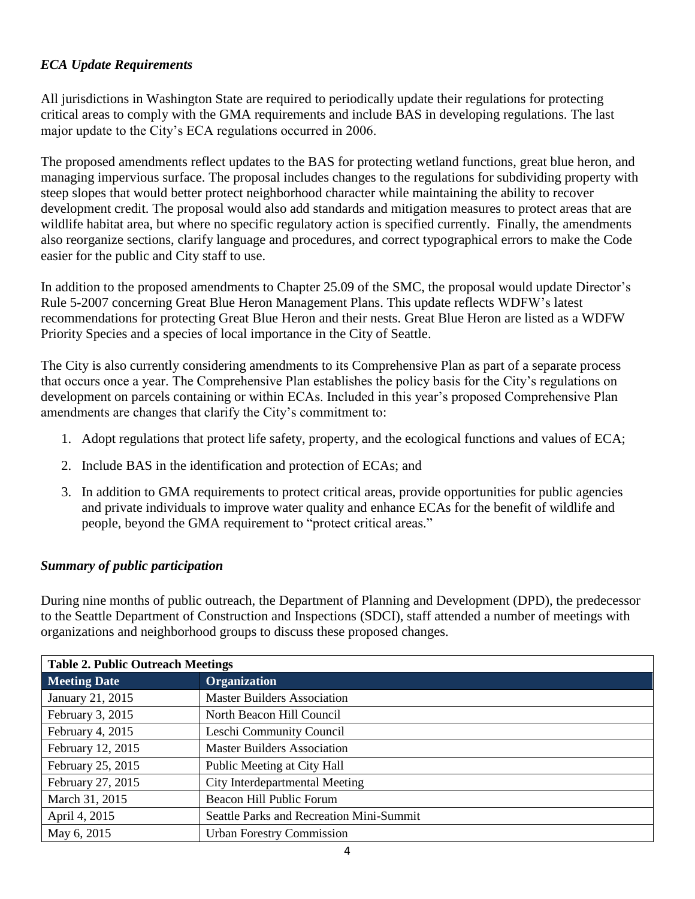# *ECA Update Requirements*

All jurisdictions in Washington State are required to periodically update their regulations for protecting critical areas to comply with the GMA requirements and include BAS in developing regulations. The last major update to the City's ECA regulations occurred in 2006.

The proposed amendments reflect updates to the BAS for protecting wetland functions, great blue heron, and managing impervious surface. The proposal includes changes to the regulations for subdividing property with steep slopes that would better protect neighborhood character while maintaining the ability to recover development credit. The proposal would also add standards and mitigation measures to protect areas that are wildlife habitat area, but where no specific regulatory action is specified currently. Finally, the amendments also reorganize sections, clarify language and procedures, and correct typographical errors to make the Code easier for the public and City staff to use.

In addition to the proposed amendments to Chapter 25.09 of the SMC, the proposal would update Director's Rule 5-2007 concerning Great Blue Heron Management Plans. This update reflects WDFW's latest recommendations for protecting Great Blue Heron and their nests. Great Blue Heron are listed as a WDFW Priority Species and a species of local importance in the City of Seattle.

The City is also currently considering amendments to its Comprehensive Plan as part of a separate process that occurs once a year. The Comprehensive Plan establishes the policy basis for the City's regulations on development on parcels containing or within ECAs. Included in this year's proposed Comprehensive Plan amendments are changes that clarify the City's commitment to:

- 1. Adopt regulations that protect life safety, property, and the ecological functions and values of ECA;
- 2. Include BAS in the identification and protection of ECAs; and
- 3. In addition to GMA requirements to protect critical areas, provide opportunities for public agencies and private individuals to improve water quality and enhance ECAs for the benefit of wildlife and people, beyond the GMA requirement to "protect critical areas."

### *Summary of public participation*

During nine months of public outreach, the Department of Planning and Development (DPD), the predecessor to the Seattle Department of Construction and Inspections (SDCI), staff attended a number of meetings with organizations and neighborhood groups to discuss these proposed changes.

| <b>Table 2. Public Outreach Meetings</b> |                                          |  |
|------------------------------------------|------------------------------------------|--|
| <b>Meeting Date</b>                      | Organization                             |  |
| January 21, 2015                         | <b>Master Builders Association</b>       |  |
| February 3, 2015                         | North Beacon Hill Council                |  |
| February 4, 2015                         | Leschi Community Council                 |  |
| February 12, 2015                        | <b>Master Builders Association</b>       |  |
| February 25, 2015                        | Public Meeting at City Hall              |  |
| February 27, 2015                        | City Interdepartmental Meeting           |  |
| March 31, 2015                           | Beacon Hill Public Forum                 |  |
| April 4, 2015                            | Seattle Parks and Recreation Mini-Summit |  |
| May 6, 2015                              | <b>Urban Forestry Commission</b>         |  |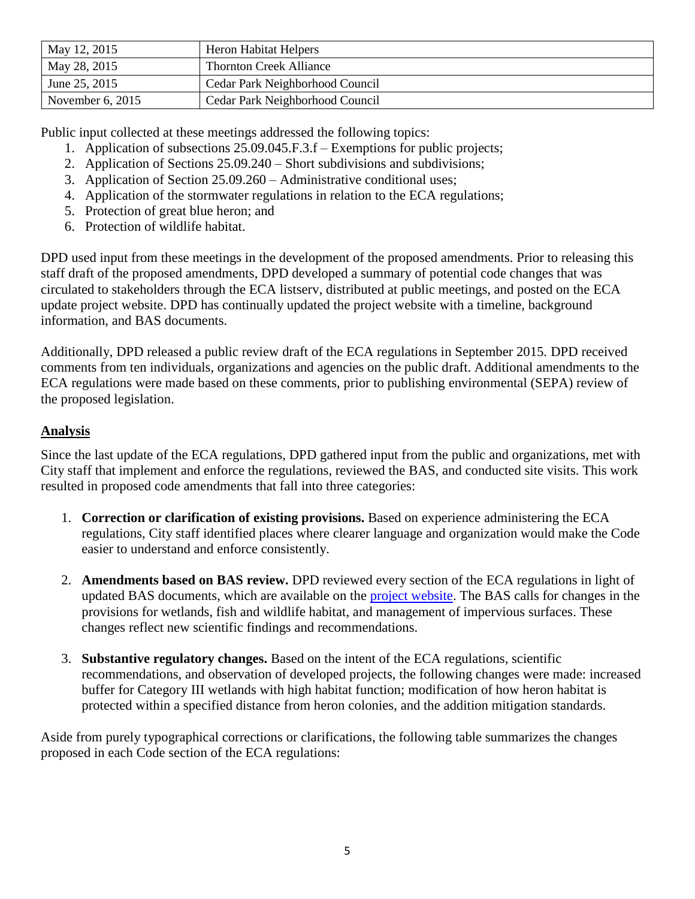| May 12, 2015       | <b>Heron Habitat Helpers</b>    |
|--------------------|---------------------------------|
| May 28, 2015       | <b>Thornton Creek Alliance</b>  |
| June 25, 2015      | Cedar Park Neighborhood Council |
| November $6, 2015$ | Cedar Park Neighborhood Council |

Public input collected at these meetings addressed the following topics:

- 1. Application of subsections 25.09.045.F.3.f Exemptions for public projects;
- 2. Application of Sections 25.09.240 Short subdivisions and subdivisions;
- 3. Application of Section 25.09.260 Administrative conditional uses;
- 4. Application of the stormwater regulations in relation to the ECA regulations;
- 5. Protection of great blue heron; and
- 6. Protection of wildlife habitat.

DPD used input from these meetings in the development of the proposed amendments. Prior to releasing this staff draft of the proposed amendments, DPD developed a summary of potential code changes that was circulated to stakeholders through the ECA listserv, distributed at public meetings, and posted on the ECA update project website. DPD has continually updated the project website with a timeline, background information, and BAS documents.

Additionally, DPD released a public review draft of the ECA regulations in September 2015. DPD received comments from ten individuals, organizations and agencies on the public draft. Additional amendments to the ECA regulations were made based on these comments, prior to publishing environmental (SEPA) review of the proposed legislation.

# **Analysis**

Since the last update of the ECA regulations, DPD gathered input from the public and organizations, met with City staff that implement and enforce the regulations, reviewed the BAS, and conducted site visits. This work resulted in proposed code amendments that fall into three categories:

- 1. **Correction or clarification of existing provisions.** Based on experience administering the ECA regulations, City staff identified places where clearer language and organization would make the Code easier to understand and enforce consistently.
- 2. **Amendments based on BAS review.** DPD reviewed every section of the ECA regulations in light of updated BAS documents, which are available on the [project website.](http://www.seattle.gov/dpd/codesrules/changestocode/ecaupdate/projectdocuments/default.htm) The BAS calls for changes in the provisions for wetlands, fish and wildlife habitat, and management of impervious surfaces. These changes reflect new scientific findings and recommendations.
- 3. **Substantive regulatory changes.** Based on the intent of the ECA regulations, scientific recommendations, and observation of developed projects, the following changes were made: increased buffer for Category III wetlands with high habitat function; modification of how heron habitat is protected within a specified distance from heron colonies, and the addition mitigation standards.

Aside from purely typographical corrections or clarifications, the following table summarizes the changes proposed in each Code section of the ECA regulations: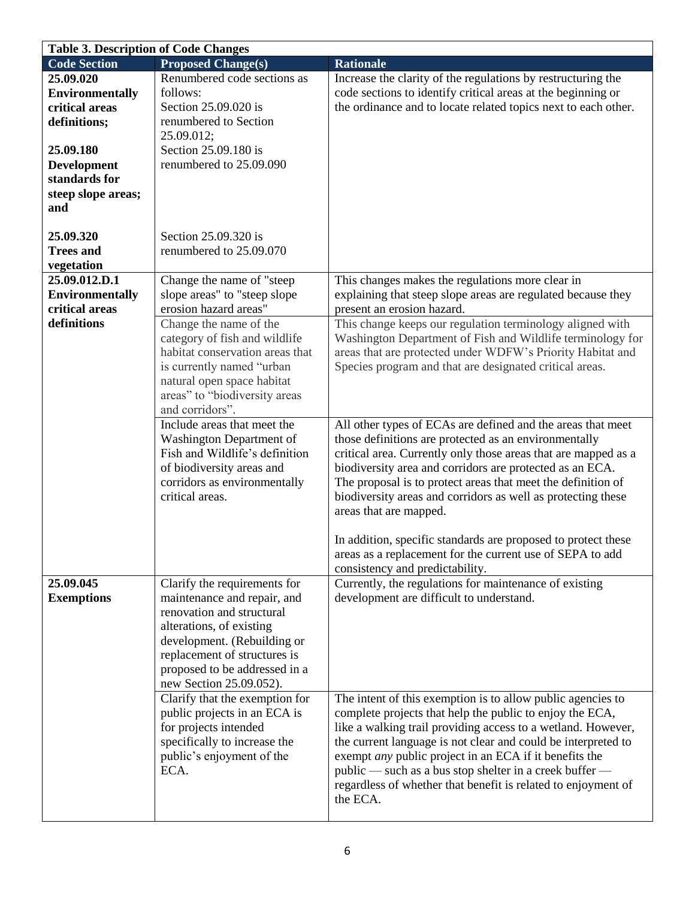| <b>Table 3. Description of Code Changes</b> |                                 |                                                                |
|---------------------------------------------|---------------------------------|----------------------------------------------------------------|
| <b>Code Section</b>                         | <b>Proposed Change(s)</b>       | <b>Rationale</b>                                               |
| 25.09.020                                   | Renumbered code sections as     | Increase the clarity of the regulations by restructuring the   |
| <b>Environmentally</b>                      | follows:                        | code sections to identify critical areas at the beginning or   |
| critical areas                              | Section 25.09.020 is            | the ordinance and to locate related topics next to each other. |
| definitions;                                | renumbered to Section           |                                                                |
|                                             | 25.09.012;                      |                                                                |
| 25.09.180                                   | Section 25.09.180 is            |                                                                |
| <b>Development</b>                          | renumbered to 25.09.090         |                                                                |
| standards for                               |                                 |                                                                |
| steep slope areas;                          |                                 |                                                                |
| and                                         |                                 |                                                                |
|                                             |                                 |                                                                |
| 25.09.320                                   | Section 25.09.320 is            |                                                                |
| <b>Trees and</b>                            | renumbered to 25.09.070         |                                                                |
| vegetation                                  |                                 |                                                                |
| 25.09.012.D.1                               | Change the name of "steep"      | This changes makes the regulations more clear in               |
| <b>Environmentally</b>                      | slope areas" to "steep slope    | explaining that steep slope areas are regulated because they   |
| critical areas                              | erosion hazard areas"           | present an erosion hazard.                                     |
| definitions                                 | Change the name of the          | This change keeps our regulation terminology aligned with      |
|                                             | category of fish and wildlife   | Washington Department of Fish and Wildlife terminology for     |
|                                             | habitat conservation areas that | areas that are protected under WDFW's Priority Habitat and     |
|                                             | is currently named "urban       | Species program and that are designated critical areas.        |
|                                             | natural open space habitat      |                                                                |
|                                             | areas" to "biodiversity areas   |                                                                |
|                                             | and corridors".                 |                                                                |
|                                             | Include areas that meet the     | All other types of ECAs are defined and the areas that meet    |
|                                             | Washington Department of        | those definitions are protected as an environmentally          |
|                                             | Fish and Wildlife's definition  | critical area. Currently only those areas that are mapped as a |
|                                             | of biodiversity areas and       | biodiversity area and corridors are protected as an ECA.       |
|                                             | corridors as environmentally    | The proposal is to protect areas that meet the definition of   |
|                                             | critical areas.                 | biodiversity areas and corridors as well as protecting these   |
|                                             |                                 | areas that are mapped.                                         |
|                                             |                                 |                                                                |
|                                             |                                 | In addition, specific standards are proposed to protect these  |
|                                             |                                 | areas as a replacement for the current use of SEPA to add      |
|                                             |                                 | consistency and predictability.                                |
| 25.09.045                                   | Clarify the requirements for    | Currently, the regulations for maintenance of existing         |
| <b>Exemptions</b>                           | maintenance and repair, and     | development are difficult to understand.                       |
|                                             | renovation and structural       |                                                                |
|                                             | alterations, of existing        |                                                                |
|                                             | development. (Rebuilding or     |                                                                |
|                                             | replacement of structures is    |                                                                |
|                                             | proposed to be addressed in a   |                                                                |
|                                             | new Section 25.09.052).         |                                                                |
|                                             | Clarify that the exemption for  | The intent of this exemption is to allow public agencies to    |
|                                             | public projects in an ECA is    | complete projects that help the public to enjoy the ECA,       |
|                                             | for projects intended           | like a walking trail providing access to a wetland. However,   |
|                                             | specifically to increase the    | the current language is not clear and could be interpreted to  |
|                                             | public's enjoyment of the       | exempt <i>any</i> public project in an ECA if it benefits the  |
|                                             | ECA.                            | public — such as a bus stop shelter in a creek buffer —        |
|                                             |                                 | regardless of whether that benefit is related to enjoyment of  |
|                                             |                                 | the ECA.                                                       |
|                                             |                                 |                                                                |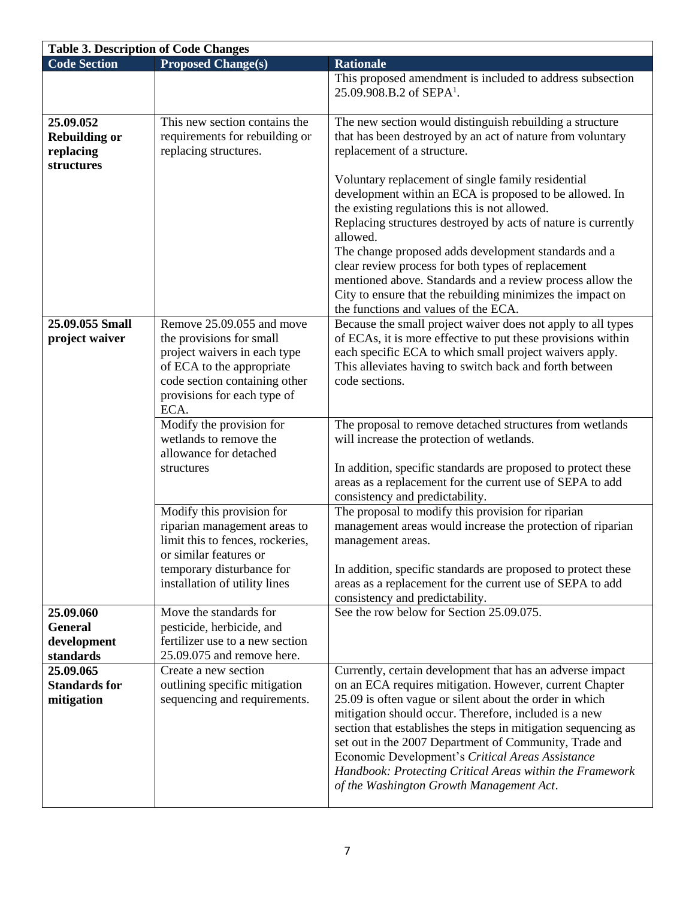| <b>Table 3. Description of Code Changes</b>                  |                                                                                                                                                                                            |                                                                                                                                                                                                                                                                                                                                                                                                                                                                                                                                  |  |
|--------------------------------------------------------------|--------------------------------------------------------------------------------------------------------------------------------------------------------------------------------------------|----------------------------------------------------------------------------------------------------------------------------------------------------------------------------------------------------------------------------------------------------------------------------------------------------------------------------------------------------------------------------------------------------------------------------------------------------------------------------------------------------------------------------------|--|
| <b>Code Section</b>                                          | <b>Proposed Change(s)</b>                                                                                                                                                                  | <b>Rationale</b>                                                                                                                                                                                                                                                                                                                                                                                                                                                                                                                 |  |
|                                                              |                                                                                                                                                                                            | This proposed amendment is included to address subsection<br>25.09.908.B.2 of SEPA <sup>1</sup> .                                                                                                                                                                                                                                                                                                                                                                                                                                |  |
| 25.09.052<br><b>Rebuilding or</b><br>replacing<br>structures | This new section contains the<br>requirements for rebuilding or<br>replacing structures.                                                                                                   | The new section would distinguish rebuilding a structure<br>that has been destroyed by an act of nature from voluntary<br>replacement of a structure.<br>Voluntary replacement of single family residential<br>development within an ECA is proposed to be allowed. In                                                                                                                                                                                                                                                           |  |
|                                                              |                                                                                                                                                                                            | the existing regulations this is not allowed.<br>Replacing structures destroyed by acts of nature is currently<br>allowed.<br>The change proposed adds development standards and a<br>clear review process for both types of replacement<br>mentioned above. Standards and a review process allow the<br>City to ensure that the rebuilding minimizes the impact on<br>the functions and values of the ECA.                                                                                                                      |  |
| 25.09.055 Small<br>project waiver                            | Remove 25.09.055 and move<br>the provisions for small<br>project waivers in each type<br>of ECA to the appropriate<br>code section containing other<br>provisions for each type of<br>ECA. | Because the small project waiver does not apply to all types<br>of ECAs, it is more effective to put these provisions within<br>each specific ECA to which small project waivers apply.<br>This alleviates having to switch back and forth between<br>code sections.                                                                                                                                                                                                                                                             |  |
|                                                              | Modify the provision for<br>wetlands to remove the<br>allowance for detached<br>structures                                                                                                 | The proposal to remove detached structures from wetlands<br>will increase the protection of wetlands.<br>In addition, specific standards are proposed to protect these<br>areas as a replacement for the current use of SEPA to add<br>consistency and predictability.                                                                                                                                                                                                                                                           |  |
|                                                              | Modify this provision for<br>riparian management areas to<br>limit this to fences, rockeries,<br>or similar features or<br>temporary disturbance for<br>installation of utility lines      | The proposal to modify this provision for riparian<br>management areas would increase the protection of riparian<br>management areas.<br>In addition, specific standards are proposed to protect these<br>areas as a replacement for the current use of SEPA to add<br>consistency and predictability.                                                                                                                                                                                                                           |  |
| 25.09.060<br><b>General</b><br>development<br>standards      | Move the standards for<br>pesticide, herbicide, and<br>fertilizer use to a new section<br>25.09.075 and remove here.                                                                       | See the row below for Section 25.09.075.                                                                                                                                                                                                                                                                                                                                                                                                                                                                                         |  |
| 25.09.065<br><b>Standards for</b><br>mitigation              | Create a new section<br>outlining specific mitigation<br>sequencing and requirements.                                                                                                      | Currently, certain development that has an adverse impact<br>on an ECA requires mitigation. However, current Chapter<br>25.09 is often vague or silent about the order in which<br>mitigation should occur. Therefore, included is a new<br>section that establishes the steps in mitigation sequencing as<br>set out in the 2007 Department of Community, Trade and<br>Economic Development's Critical Areas Assistance<br>Handbook: Protecting Critical Areas within the Framework<br>of the Washington Growth Management Act. |  |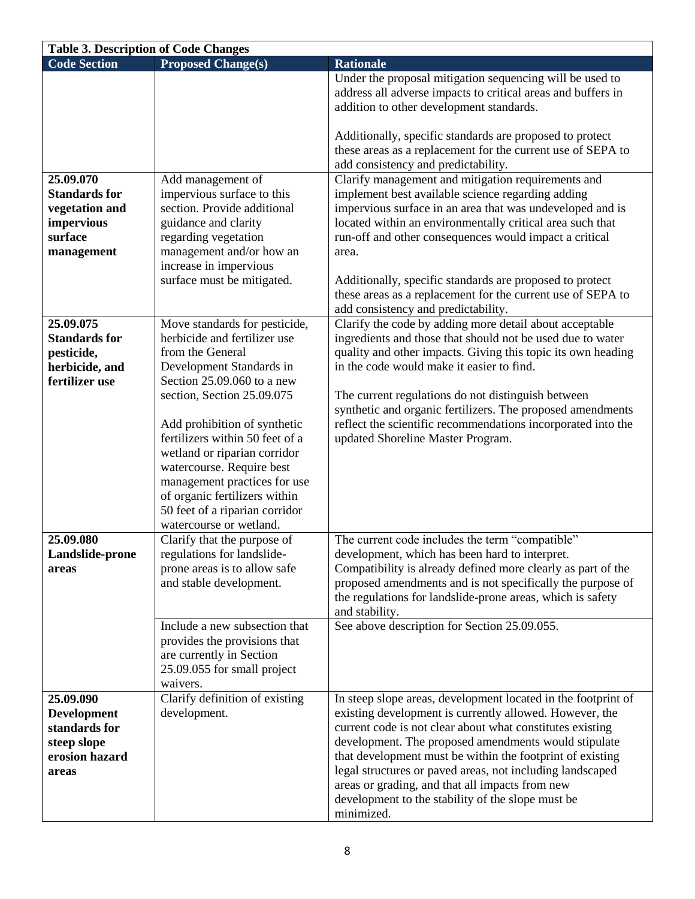| <b>Table 3. Description of Code Changes</b>                                                |                                                                                                                                                                                                                                                                                                                                                                                                                                         |                                                                                                                                                                                                                                                                                                                                                                                                                                                                                               |
|--------------------------------------------------------------------------------------------|-----------------------------------------------------------------------------------------------------------------------------------------------------------------------------------------------------------------------------------------------------------------------------------------------------------------------------------------------------------------------------------------------------------------------------------------|-----------------------------------------------------------------------------------------------------------------------------------------------------------------------------------------------------------------------------------------------------------------------------------------------------------------------------------------------------------------------------------------------------------------------------------------------------------------------------------------------|
| <b>Code Section</b>                                                                        | <b>Proposed Change(s)</b>                                                                                                                                                                                                                                                                                                                                                                                                               | <b>Rationale</b>                                                                                                                                                                                                                                                                                                                                                                                                                                                                              |
|                                                                                            |                                                                                                                                                                                                                                                                                                                                                                                                                                         | Under the proposal mitigation sequencing will be used to<br>address all adverse impacts to critical areas and buffers in<br>addition to other development standards.                                                                                                                                                                                                                                                                                                                          |
|                                                                                            |                                                                                                                                                                                                                                                                                                                                                                                                                                         | Additionally, specific standards are proposed to protect<br>these areas as a replacement for the current use of SEPA to<br>add consistency and predictability.                                                                                                                                                                                                                                                                                                                                |
| 25.09.070                                                                                  | Add management of                                                                                                                                                                                                                                                                                                                                                                                                                       | Clarify management and mitigation requirements and                                                                                                                                                                                                                                                                                                                                                                                                                                            |
| <b>Standards for</b><br>vegetation and<br>impervious<br>surface                            | impervious surface to this<br>section. Provide additional<br>guidance and clarity<br>regarding vegetation                                                                                                                                                                                                                                                                                                                               | implement best available science regarding adding<br>impervious surface in an area that was undeveloped and is<br>located within an environmentally critical area such that<br>run-off and other consequences would impact a critical                                                                                                                                                                                                                                                         |
| management                                                                                 | management and/or how an                                                                                                                                                                                                                                                                                                                                                                                                                | area.                                                                                                                                                                                                                                                                                                                                                                                                                                                                                         |
|                                                                                            | increase in impervious<br>surface must be mitigated.                                                                                                                                                                                                                                                                                                                                                                                    | Additionally, specific standards are proposed to protect<br>these areas as a replacement for the current use of SEPA to<br>add consistency and predictability.                                                                                                                                                                                                                                                                                                                                |
| 25.09.075<br><b>Standards for</b><br>pesticide,<br>herbicide, and<br>fertilizer use        | Move standards for pesticide,<br>herbicide and fertilizer use<br>from the General<br>Development Standards in<br>Section 25.09.060 to a new<br>section, Section 25.09.075<br>Add prohibition of synthetic<br>fertilizers within 50 feet of a<br>wetland or riparian corridor<br>watercourse. Require best<br>management practices for use<br>of organic fertilizers within<br>50 feet of a riparian corridor<br>watercourse or wetland. | Clarify the code by adding more detail about acceptable<br>ingredients and those that should not be used due to water<br>quality and other impacts. Giving this topic its own heading<br>in the code would make it easier to find.<br>The current regulations do not distinguish between<br>synthetic and organic fertilizers. The proposed amendments<br>reflect the scientific recommendations incorporated into the<br>updated Shoreline Master Program.                                   |
| 25.09.080<br>Landslide-prone<br>areas                                                      | Clarify that the purpose of<br>regulations for landslide-<br>prone areas is to allow safe<br>and stable development.                                                                                                                                                                                                                                                                                                                    | The current code includes the term "compatible"<br>development, which has been hard to interpret.<br>Compatibility is already defined more clearly as part of the<br>proposed amendments and is not specifically the purpose of<br>the regulations for landslide-prone areas, which is safety<br>and stability.                                                                                                                                                                               |
|                                                                                            | Include a new subsection that<br>provides the provisions that<br>are currently in Section<br>25.09.055 for small project<br>waivers.                                                                                                                                                                                                                                                                                                    | See above description for Section 25.09.055.                                                                                                                                                                                                                                                                                                                                                                                                                                                  |
| 25.09.090<br><b>Development</b><br>standards for<br>steep slope<br>erosion hazard<br>areas | Clarify definition of existing<br>development.                                                                                                                                                                                                                                                                                                                                                                                          | In steep slope areas, development located in the footprint of<br>existing development is currently allowed. However, the<br>current code is not clear about what constitutes existing<br>development. The proposed amendments would stipulate<br>that development must be within the footprint of existing<br>legal structures or paved areas, not including landscaped<br>areas or grading, and that all impacts from new<br>development to the stability of the slope must be<br>minimized. |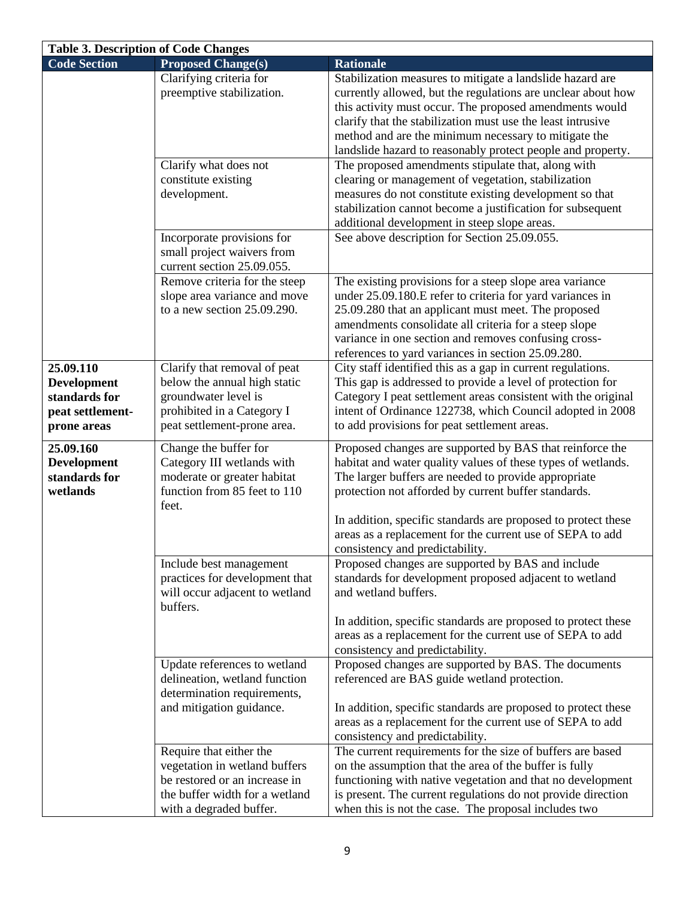| <b>Table 3. Description of Code Changes</b>                                         |                                                                                                                                                        |                                                                                                                                                                                                                                                                                                                                                                            |
|-------------------------------------------------------------------------------------|--------------------------------------------------------------------------------------------------------------------------------------------------------|----------------------------------------------------------------------------------------------------------------------------------------------------------------------------------------------------------------------------------------------------------------------------------------------------------------------------------------------------------------------------|
| <b>Code Section</b>                                                                 | <b>Proposed Change(s)</b>                                                                                                                              | <b>Rationale</b>                                                                                                                                                                                                                                                                                                                                                           |
|                                                                                     | Clarifying criteria for<br>preemptive stabilization.                                                                                                   | Stabilization measures to mitigate a landslide hazard are<br>currently allowed, but the regulations are unclear about how<br>this activity must occur. The proposed amendments would<br>clarify that the stabilization must use the least intrusive<br>method and are the minimum necessary to mitigate the<br>landslide hazard to reasonably protect people and property. |
|                                                                                     | Clarify what does not<br>constitute existing<br>development.                                                                                           | The proposed amendments stipulate that, along with<br>clearing or management of vegetation, stabilization<br>measures do not constitute existing development so that<br>stabilization cannot become a justification for subsequent<br>additional development in steep slope areas.                                                                                         |
|                                                                                     | Incorporate provisions for<br>small project waivers from<br>current section 25.09.055.                                                                 | See above description for Section 25.09.055.                                                                                                                                                                                                                                                                                                                               |
|                                                                                     | Remove criteria for the steep<br>slope area variance and move<br>to a new section 25.09.290.                                                           | The existing provisions for a steep slope area variance<br>under 25.09.180.E refer to criteria for yard variances in<br>25.09.280 that an applicant must meet. The proposed<br>amendments consolidate all criteria for a steep slope<br>variance in one section and removes confusing cross-<br>references to yard variances in section 25.09.280.                         |
| 25.09.110<br><b>Development</b><br>standards for<br>peat settlement-<br>prone areas | Clarify that removal of peat<br>below the annual high static<br>groundwater level is<br>prohibited in a Category I<br>peat settlement-prone area.      | City staff identified this as a gap in current regulations.<br>This gap is addressed to provide a level of protection for<br>Category I peat settlement areas consistent with the original<br>intent of Ordinance 122738, which Council adopted in 2008<br>to add provisions for peat settlement areas.                                                                    |
| 25.09.160<br><b>Development</b><br>standards for<br>wetlands                        | Change the buffer for<br>Category III wetlands with<br>moderate or greater habitat<br>function from 85 feet to 110<br>feet.                            | Proposed changes are supported by BAS that reinforce the<br>habitat and water quality values of these types of wetlands.<br>The larger buffers are needed to provide appropriate<br>protection not afforded by current buffer standards.<br>In addition, specific standards are proposed to protect these<br>areas as a replacement for the current use of SEPA to add     |
|                                                                                     | Include best management<br>practices for development that<br>will occur adjacent to wetland<br>buffers.                                                | consistency and predictability.<br>Proposed changes are supported by BAS and include<br>standards for development proposed adjacent to wetland<br>and wetland buffers.<br>In addition, specific standards are proposed to protect these<br>areas as a replacement for the current use of SEPA to add                                                                       |
|                                                                                     | Update references to wetland<br>delineation, wetland function<br>determination requirements,<br>and mitigation guidance.                               | consistency and predictability.<br>Proposed changes are supported by BAS. The documents<br>referenced are BAS guide wetland protection.<br>In addition, specific standards are proposed to protect these<br>areas as a replacement for the current use of SEPA to add<br>consistency and predictability.                                                                   |
|                                                                                     | Require that either the<br>vegetation in wetland buffers<br>be restored or an increase in<br>the buffer width for a wetland<br>with a degraded buffer. | The current requirements for the size of buffers are based<br>on the assumption that the area of the buffer is fully<br>functioning with native vegetation and that no development<br>is present. The current regulations do not provide direction<br>when this is not the case. The proposal includes two                                                                 |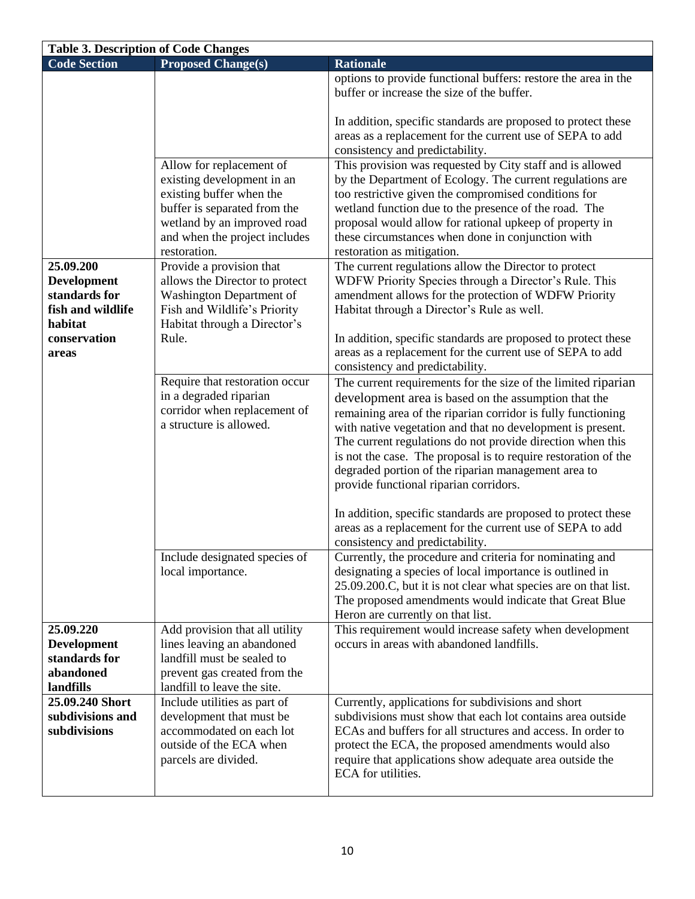| <b>Table 3. Description of Code Changes</b>                                                               |                                                                                                                                                                                                    |                                                                                                                                                                                                                                                                                                                                                                                                                                                                                                                                                                                                                                                       |
|-----------------------------------------------------------------------------------------------------------|----------------------------------------------------------------------------------------------------------------------------------------------------------------------------------------------------|-------------------------------------------------------------------------------------------------------------------------------------------------------------------------------------------------------------------------------------------------------------------------------------------------------------------------------------------------------------------------------------------------------------------------------------------------------------------------------------------------------------------------------------------------------------------------------------------------------------------------------------------------------|
| <b>Code Section</b>                                                                                       | <b>Proposed Change(s)</b>                                                                                                                                                                          | <b>Rationale</b>                                                                                                                                                                                                                                                                                                                                                                                                                                                                                                                                                                                                                                      |
|                                                                                                           |                                                                                                                                                                                                    | options to provide functional buffers: restore the area in the<br>buffer or increase the size of the buffer.                                                                                                                                                                                                                                                                                                                                                                                                                                                                                                                                          |
|                                                                                                           |                                                                                                                                                                                                    | In addition, specific standards are proposed to protect these<br>areas as a replacement for the current use of SEPA to add<br>consistency and predictability.                                                                                                                                                                                                                                                                                                                                                                                                                                                                                         |
|                                                                                                           | Allow for replacement of<br>existing development in an<br>existing buffer when the<br>buffer is separated from the<br>wetland by an improved road<br>and when the project includes<br>restoration. | This provision was requested by City staff and is allowed<br>by the Department of Ecology. The current regulations are<br>too restrictive given the compromised conditions for<br>wetland function due to the presence of the road. The<br>proposal would allow for rational upkeep of property in<br>these circumstances when done in conjunction with<br>restoration as mitigation.                                                                                                                                                                                                                                                                 |
| 25.09.200<br><b>Development</b><br>standards for<br>fish and wildlife<br>habitat<br>conservation<br>areas | Provide a provision that<br>allows the Director to protect<br>Washington Department of<br>Fish and Wildlife's Priority<br>Habitat through a Director's<br>Rule.                                    | The current regulations allow the Director to protect<br>WDFW Priority Species through a Director's Rule. This<br>amendment allows for the protection of WDFW Priority<br>Habitat through a Director's Rule as well.<br>In addition, specific standards are proposed to protect these<br>areas as a replacement for the current use of SEPA to add                                                                                                                                                                                                                                                                                                    |
|                                                                                                           | Require that restoration occur<br>in a degraded riparian<br>corridor when replacement of<br>a structure is allowed.                                                                                | consistency and predictability.<br>The current requirements for the size of the limited riparian<br>development area is based on the assumption that the<br>remaining area of the riparian corridor is fully functioning<br>with native vegetation and that no development is present.<br>The current regulations do not provide direction when this<br>is not the case. The proposal is to require restoration of the<br>degraded portion of the riparian management area to<br>provide functional riparian corridors.<br>In addition, specific standards are proposed to protect these<br>areas as a replacement for the current use of SEPA to add |
|                                                                                                           | Include designated species of<br>local importance.                                                                                                                                                 | consistency and predictability.<br>Currently, the procedure and criteria for nominating and<br>designating a species of local importance is outlined in<br>25.09.200.C, but it is not clear what species are on that list.<br>The proposed amendments would indicate that Great Blue<br>Heron are currently on that list.                                                                                                                                                                                                                                                                                                                             |
| 25.09.220<br><b>Development</b><br>standards for<br>abandoned<br>landfills                                | Add provision that all utility<br>lines leaving an abandoned<br>landfill must be sealed to<br>prevent gas created from the<br>landfill to leave the site.                                          | This requirement would increase safety when development<br>occurs in areas with abandoned landfills.                                                                                                                                                                                                                                                                                                                                                                                                                                                                                                                                                  |
| 25.09.240 Short<br>subdivisions and<br>subdivisions                                                       | Include utilities as part of<br>development that must be<br>accommodated on each lot<br>outside of the ECA when<br>parcels are divided.                                                            | Currently, applications for subdivisions and short<br>subdivisions must show that each lot contains area outside<br>ECAs and buffers for all structures and access. In order to<br>protect the ECA, the proposed amendments would also<br>require that applications show adequate area outside the<br>ECA for utilities.                                                                                                                                                                                                                                                                                                                              |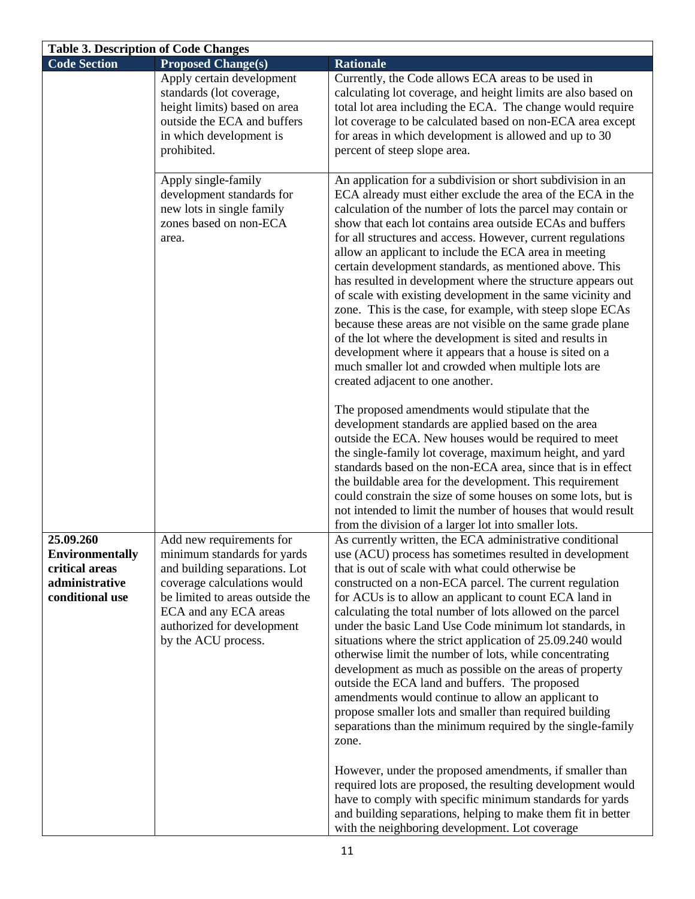| <b>Table 3. Description of Code Changes</b>                                                |                                                                                                                                                                                                                                          |                                                                                                                                                                                                                                                                                                                                                                                                                                                                                                                                                                                                                                                                                                                                                                                                                                                                                                                       |
|--------------------------------------------------------------------------------------------|------------------------------------------------------------------------------------------------------------------------------------------------------------------------------------------------------------------------------------------|-----------------------------------------------------------------------------------------------------------------------------------------------------------------------------------------------------------------------------------------------------------------------------------------------------------------------------------------------------------------------------------------------------------------------------------------------------------------------------------------------------------------------------------------------------------------------------------------------------------------------------------------------------------------------------------------------------------------------------------------------------------------------------------------------------------------------------------------------------------------------------------------------------------------------|
| <b>Code Section</b>                                                                        | <b>Proposed Change(s)</b>                                                                                                                                                                                                                | <b>Rationale</b>                                                                                                                                                                                                                                                                                                                                                                                                                                                                                                                                                                                                                                                                                                                                                                                                                                                                                                      |
|                                                                                            | Apply certain development<br>standards (lot coverage,<br>height limits) based on area<br>outside the ECA and buffers<br>in which development is<br>prohibited.                                                                           | Currently, the Code allows ECA areas to be used in<br>calculating lot coverage, and height limits are also based on<br>total lot area including the ECA. The change would require<br>lot coverage to be calculated based on non-ECA area except<br>for areas in which development is allowed and up to 30<br>percent of steep slope area.                                                                                                                                                                                                                                                                                                                                                                                                                                                                                                                                                                             |
|                                                                                            | Apply single-family<br>development standards for<br>new lots in single family<br>zones based on non-ECA<br>area.                                                                                                                         | An application for a subdivision or short subdivision in an<br>ECA already must either exclude the area of the ECA in the<br>calculation of the number of lots the parcel may contain or<br>show that each lot contains area outside ECAs and buffers<br>for all structures and access. However, current regulations<br>allow an applicant to include the ECA area in meeting<br>certain development standards, as mentioned above. This<br>has resulted in development where the structure appears out<br>of scale with existing development in the same vicinity and<br>zone. This is the case, for example, with steep slope ECAs<br>because these areas are not visible on the same grade plane<br>of the lot where the development is sited and results in<br>development where it appears that a house is sited on a<br>much smaller lot and crowded when multiple lots are<br>created adjacent to one another. |
|                                                                                            |                                                                                                                                                                                                                                          | The proposed amendments would stipulate that the<br>development standards are applied based on the area<br>outside the ECA. New houses would be required to meet<br>the single-family lot coverage, maximum height, and yard<br>standards based on the non-ECA area, since that is in effect<br>the buildable area for the development. This requirement<br>could constrain the size of some houses on some lots, but is<br>not intended to limit the number of houses that would result<br>from the division of a larger lot into smaller lots.                                                                                                                                                                                                                                                                                                                                                                      |
| 25.09.260<br><b>Environmentally</b><br>critical areas<br>administrative<br>conditional use | Add new requirements for<br>minimum standards for yards<br>and building separations. Lot<br>coverage calculations would<br>be limited to areas outside the<br>ECA and any ECA areas<br>authorized for development<br>by the ACU process. | As currently written, the ECA administrative conditional<br>use (ACU) process has sometimes resulted in development<br>that is out of scale with what could otherwise be<br>constructed on a non-ECA parcel. The current regulation<br>for ACUs is to allow an applicant to count ECA land in<br>calculating the total number of lots allowed on the parcel<br>under the basic Land Use Code minimum lot standards, in<br>situations where the strict application of 25.09.240 would<br>otherwise limit the number of lots, while concentrating<br>development as much as possible on the areas of property<br>outside the ECA land and buffers. The proposed<br>amendments would continue to allow an applicant to<br>propose smaller lots and smaller than required building<br>separations than the minimum required by the single-family<br>zone.                                                                 |
|                                                                                            |                                                                                                                                                                                                                                          | However, under the proposed amendments, if smaller than<br>required lots are proposed, the resulting development would<br>have to comply with specific minimum standards for yards<br>and building separations, helping to make them fit in better<br>with the neighboring development. Lot coverage                                                                                                                                                                                                                                                                                                                                                                                                                                                                                                                                                                                                                  |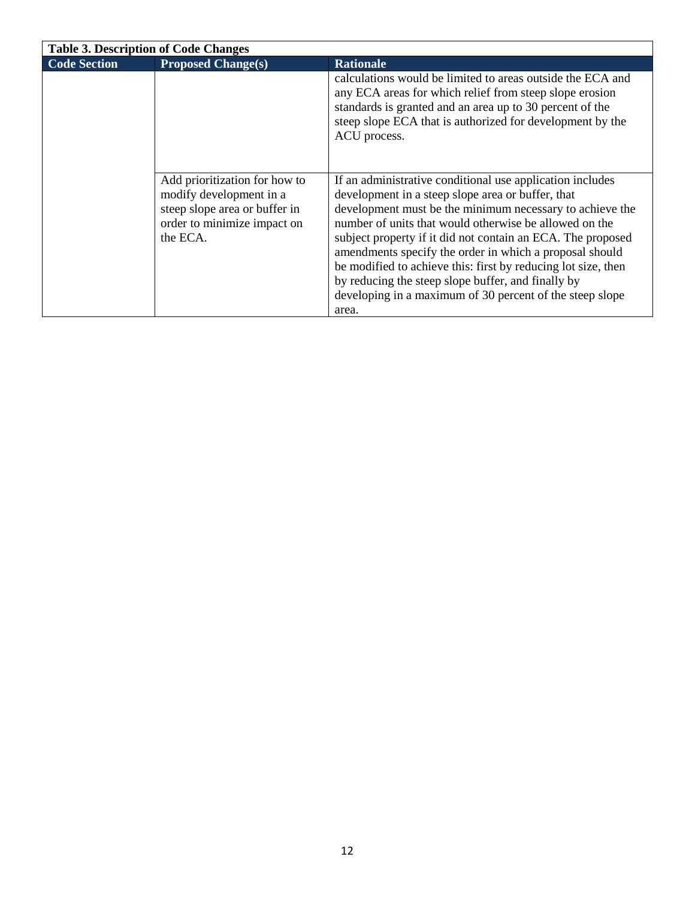| <b>Table 3. Description of Code Changes</b> |                                                                                                                                      |                                                                                                                                                                                                                                                                                                                                                                                                                                                                                                                                                            |
|---------------------------------------------|--------------------------------------------------------------------------------------------------------------------------------------|------------------------------------------------------------------------------------------------------------------------------------------------------------------------------------------------------------------------------------------------------------------------------------------------------------------------------------------------------------------------------------------------------------------------------------------------------------------------------------------------------------------------------------------------------------|
| <b>Code Section</b>                         | <b>Proposed Change(s)</b>                                                                                                            | <b>Rationale</b>                                                                                                                                                                                                                                                                                                                                                                                                                                                                                                                                           |
|                                             |                                                                                                                                      | calculations would be limited to areas outside the ECA and<br>any ECA areas for which relief from steep slope erosion<br>standards is granted and an area up to 30 percent of the<br>steep slope ECA that is authorized for development by the<br>ACU process.                                                                                                                                                                                                                                                                                             |
|                                             | Add prioritization for how to<br>modify development in a<br>steep slope area or buffer in<br>order to minimize impact on<br>the ECA. | If an administrative conditional use application includes<br>development in a steep slope area or buffer, that<br>development must be the minimum necessary to achieve the<br>number of units that would otherwise be allowed on the<br>subject property if it did not contain an ECA. The proposed<br>amendments specify the order in which a proposal should<br>be modified to achieve this: first by reducing lot size, then<br>by reducing the steep slope buffer, and finally by<br>developing in a maximum of 30 percent of the steep slope<br>area. |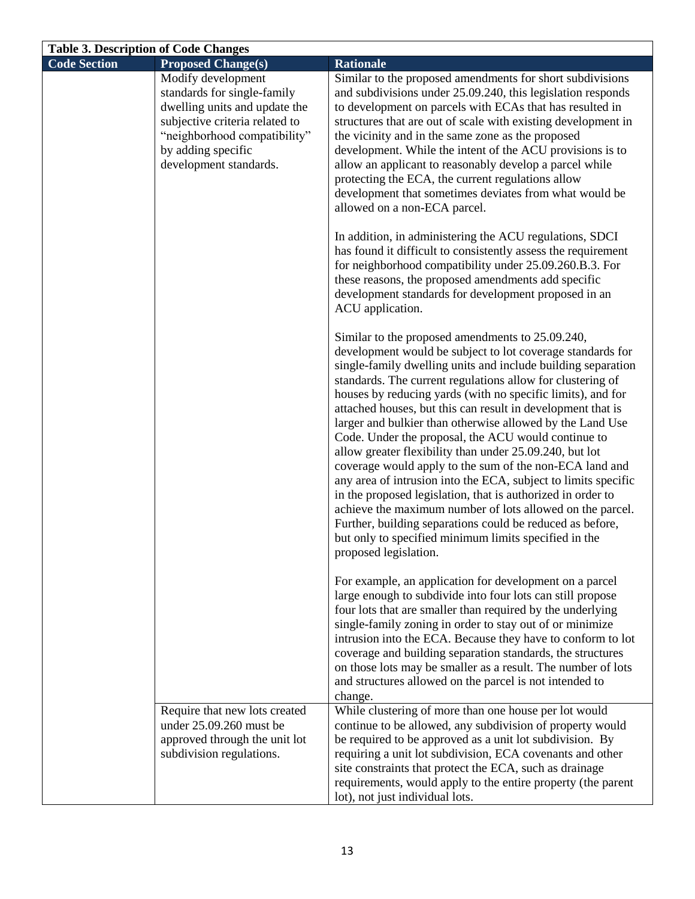| <b>Table 3. Description of Code Changes</b> |                                                                                                                                                                                                      |                                                                                                                                                                                                                                                                                                                                                                                                                                                                                                                                                                                                                                                                                                                                                                                                                                                                                                                                                                   |
|---------------------------------------------|------------------------------------------------------------------------------------------------------------------------------------------------------------------------------------------------------|-------------------------------------------------------------------------------------------------------------------------------------------------------------------------------------------------------------------------------------------------------------------------------------------------------------------------------------------------------------------------------------------------------------------------------------------------------------------------------------------------------------------------------------------------------------------------------------------------------------------------------------------------------------------------------------------------------------------------------------------------------------------------------------------------------------------------------------------------------------------------------------------------------------------------------------------------------------------|
| <b>Code Section</b>                         | <b>Proposed Change(s)</b>                                                                                                                                                                            | <b>Rationale</b>                                                                                                                                                                                                                                                                                                                                                                                                                                                                                                                                                                                                                                                                                                                                                                                                                                                                                                                                                  |
|                                             | Modify development<br>standards for single-family<br>dwelling units and update the<br>subjective criteria related to<br>"neighborhood compatibility"<br>by adding specific<br>development standards. | Similar to the proposed amendments for short subdivisions<br>and subdivisions under 25.09.240, this legislation responds<br>to development on parcels with ECAs that has resulted in<br>structures that are out of scale with existing development in<br>the vicinity and in the same zone as the proposed<br>development. While the intent of the ACU provisions is to<br>allow an applicant to reasonably develop a parcel while<br>protecting the ECA, the current regulations allow<br>development that sometimes deviates from what would be<br>allowed on a non-ECA parcel.                                                                                                                                                                                                                                                                                                                                                                                 |
|                                             |                                                                                                                                                                                                      | In addition, in administering the ACU regulations, SDCI<br>has found it difficult to consistently assess the requirement<br>for neighborhood compatibility under 25.09.260.B.3. For<br>these reasons, the proposed amendments add specific<br>development standards for development proposed in an<br>ACU application.                                                                                                                                                                                                                                                                                                                                                                                                                                                                                                                                                                                                                                            |
|                                             |                                                                                                                                                                                                      | Similar to the proposed amendments to 25.09.240,<br>development would be subject to lot coverage standards for<br>single-family dwelling units and include building separation<br>standards. The current regulations allow for clustering of<br>houses by reducing yards (with no specific limits), and for<br>attached houses, but this can result in development that is<br>larger and bulkier than otherwise allowed by the Land Use<br>Code. Under the proposal, the ACU would continue to<br>allow greater flexibility than under 25.09.240, but lot<br>coverage would apply to the sum of the non-ECA land and<br>any area of intrusion into the ECA, subject to limits specific<br>in the proposed legislation, that is authorized in order to<br>achieve the maximum number of lots allowed on the parcel.<br>Further, building separations could be reduced as before,<br>but only to specified minimum limits specified in the<br>proposed legislation. |
|                                             |                                                                                                                                                                                                      | For example, an application for development on a parcel<br>large enough to subdivide into four lots can still propose<br>four lots that are smaller than required by the underlying<br>single-family zoning in order to stay out of or minimize<br>intrusion into the ECA. Because they have to conform to lot<br>coverage and building separation standards, the structures<br>on those lots may be smaller as a result. The number of lots<br>and structures allowed on the parcel is not intended to<br>change.                                                                                                                                                                                                                                                                                                                                                                                                                                                |
|                                             | Require that new lots created<br>under 25.09.260 must be<br>approved through the unit lot<br>subdivision regulations.                                                                                | While clustering of more than one house per lot would<br>continue to be allowed, any subdivision of property would<br>be required to be approved as a unit lot subdivision. By<br>requiring a unit lot subdivision, ECA covenants and other<br>site constraints that protect the ECA, such as drainage<br>requirements, would apply to the entire property (the parent<br>lot), not just individual lots.                                                                                                                                                                                                                                                                                                                                                                                                                                                                                                                                                         |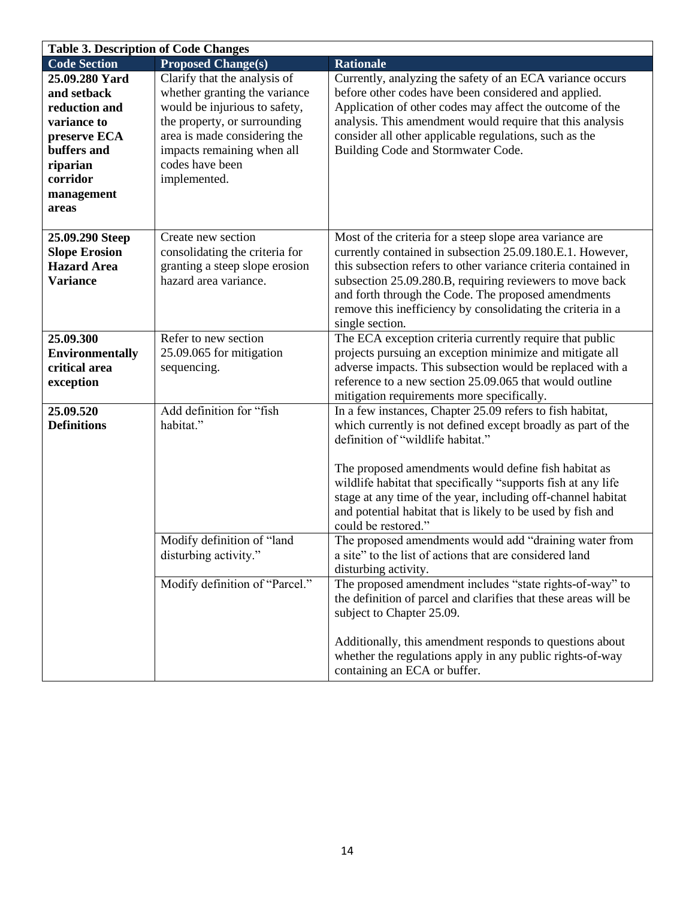| <b>Table 3. Description of Code Changes</b>                                                                                                 |                                                                                                                                                                                                                                 |                                                                                                                                                                                                                                                                                                                                                                                                                                                                                                                                                                                                                                                                                                                           |
|---------------------------------------------------------------------------------------------------------------------------------------------|---------------------------------------------------------------------------------------------------------------------------------------------------------------------------------------------------------------------------------|---------------------------------------------------------------------------------------------------------------------------------------------------------------------------------------------------------------------------------------------------------------------------------------------------------------------------------------------------------------------------------------------------------------------------------------------------------------------------------------------------------------------------------------------------------------------------------------------------------------------------------------------------------------------------------------------------------------------------|
| <b>Code Section</b>                                                                                                                         | <b>Proposed Change(s)</b>                                                                                                                                                                                                       | <b>Rationale</b>                                                                                                                                                                                                                                                                                                                                                                                                                                                                                                                                                                                                                                                                                                          |
| 25.09.280 Yard<br>and setback<br>reduction and<br>variance to<br>preserve ECA<br>buffers and<br>riparian<br>corridor<br>management<br>areas | Clarify that the analysis of<br>whether granting the variance<br>would be injurious to safety,<br>the property, or surrounding<br>area is made considering the<br>impacts remaining when all<br>codes have been<br>implemented. | Currently, analyzing the safety of an ECA variance occurs<br>before other codes have been considered and applied.<br>Application of other codes may affect the outcome of the<br>analysis. This amendment would require that this analysis<br>consider all other applicable regulations, such as the<br>Building Code and Stormwater Code.                                                                                                                                                                                                                                                                                                                                                                                |
| 25.09.290 Steep<br><b>Slope Erosion</b><br><b>Hazard Area</b><br><b>Variance</b>                                                            | Create new section<br>consolidating the criteria for<br>granting a steep slope erosion<br>hazard area variance.                                                                                                                 | Most of the criteria for a steep slope area variance are<br>currently contained in subsection 25.09.180.E.1. However,<br>this subsection refers to other variance criteria contained in<br>subsection 25.09.280.B, requiring reviewers to move back<br>and forth through the Code. The proposed amendments<br>remove this inefficiency by consolidating the criteria in a<br>single section.                                                                                                                                                                                                                                                                                                                              |
| 25.09.300<br><b>Environmentally</b><br>critical area<br>exception                                                                           | Refer to new section<br>25.09.065 for mitigation<br>sequencing.                                                                                                                                                                 | The ECA exception criteria currently require that public<br>projects pursuing an exception minimize and mitigate all<br>adverse impacts. This subsection would be replaced with a<br>reference to a new section 25.09.065 that would outline<br>mitigation requirements more specifically.                                                                                                                                                                                                                                                                                                                                                                                                                                |
| 25.09.520<br><b>Definitions</b>                                                                                                             | Add definition for "fish<br>habitat."<br>Modify definition of "land<br>disturbing activity."<br>Modify definition of "Parcel."                                                                                                  | In a few instances, Chapter 25.09 refers to fish habitat,<br>which currently is not defined except broadly as part of the<br>definition of "wildlife habitat."<br>The proposed amendments would define fish habitat as<br>wildlife habitat that specifically "supports fish at any life<br>stage at any time of the year, including off-channel habitat<br>and potential habitat that is likely to be used by fish and<br>could be restored."<br>The proposed amendments would add "draining water from<br>a site" to the list of actions that are considered land<br>disturbing activity.<br>The proposed amendment includes "state rights-of-way" to<br>the definition of parcel and clarifies that these areas will be |
|                                                                                                                                             |                                                                                                                                                                                                                                 | subject to Chapter 25.09.<br>Additionally, this amendment responds to questions about<br>whether the regulations apply in any public rights-of-way<br>containing an ECA or buffer.                                                                                                                                                                                                                                                                                                                                                                                                                                                                                                                                        |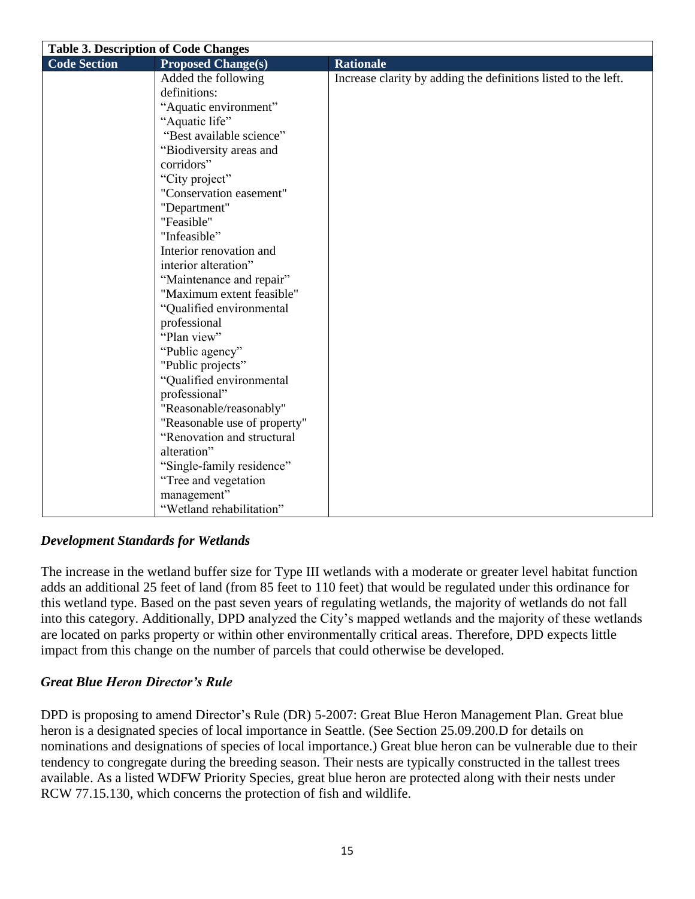| <b>Table 3. Description of Code Changes</b> |                              |                                                                |
|---------------------------------------------|------------------------------|----------------------------------------------------------------|
| <b>Code Section</b>                         | <b>Proposed Change(s)</b>    | <b>Rationale</b>                                               |
|                                             | Added the following          | Increase clarity by adding the definitions listed to the left. |
|                                             | definitions:                 |                                                                |
|                                             | "Aquatic environment"        |                                                                |
|                                             | "Aquatic life"               |                                                                |
|                                             | "Best available science"     |                                                                |
|                                             | "Biodiversity areas and      |                                                                |
|                                             | corridors"                   |                                                                |
|                                             | "City project"               |                                                                |
|                                             | "Conservation easement"      |                                                                |
|                                             | "Department"                 |                                                                |
|                                             | "Feasible"                   |                                                                |
|                                             | "Infeasible"                 |                                                                |
|                                             | Interior renovation and      |                                                                |
|                                             | interior alteration"         |                                                                |
|                                             | "Maintenance and repair"     |                                                                |
|                                             | "Maximum extent feasible"    |                                                                |
|                                             | "Qualified environmental     |                                                                |
|                                             | professional                 |                                                                |
|                                             | "Plan view"                  |                                                                |
|                                             | "Public agency"              |                                                                |
|                                             | "Public projects"            |                                                                |
|                                             | "Qualified environmental     |                                                                |
|                                             | professional"                |                                                                |
|                                             | "Reasonable/reasonably"      |                                                                |
|                                             | "Reasonable use of property" |                                                                |
|                                             | "Renovation and structural   |                                                                |
|                                             | alteration"                  |                                                                |
|                                             | "Single-family residence"    |                                                                |
|                                             | "Tree and vegetation         |                                                                |
|                                             | management"                  |                                                                |
|                                             | "Wetland rehabilitation"     |                                                                |

# *Development Standards for Wetlands*

The increase in the wetland buffer size for Type III wetlands with a moderate or greater level habitat function adds an additional 25 feet of land (from 85 feet to 110 feet) that would be regulated under this ordinance for this wetland type. Based on the past seven years of regulating wetlands, the majority of wetlands do not fall into this category. Additionally, DPD analyzed the City's mapped wetlands and the majority of these wetlands are located on parks property or within other environmentally critical areas. Therefore, DPD expects little impact from this change on the number of parcels that could otherwise be developed.

### *Great Blue Heron Director's Rule*

DPD is proposing to amend Director's Rule (DR) 5-2007: Great Blue Heron Management Plan. Great blue heron is a designated species of local importance in Seattle. (See Section 25.09.200.D for details on nominations and designations of species of local importance.) Great blue heron can be vulnerable due to their tendency to congregate during the breeding season. Their nests are typically constructed in the tallest trees available. As a listed WDFW Priority Species, great blue heron are protected along with their nests under RCW 77.15.130, which concerns the protection of fish and wildlife.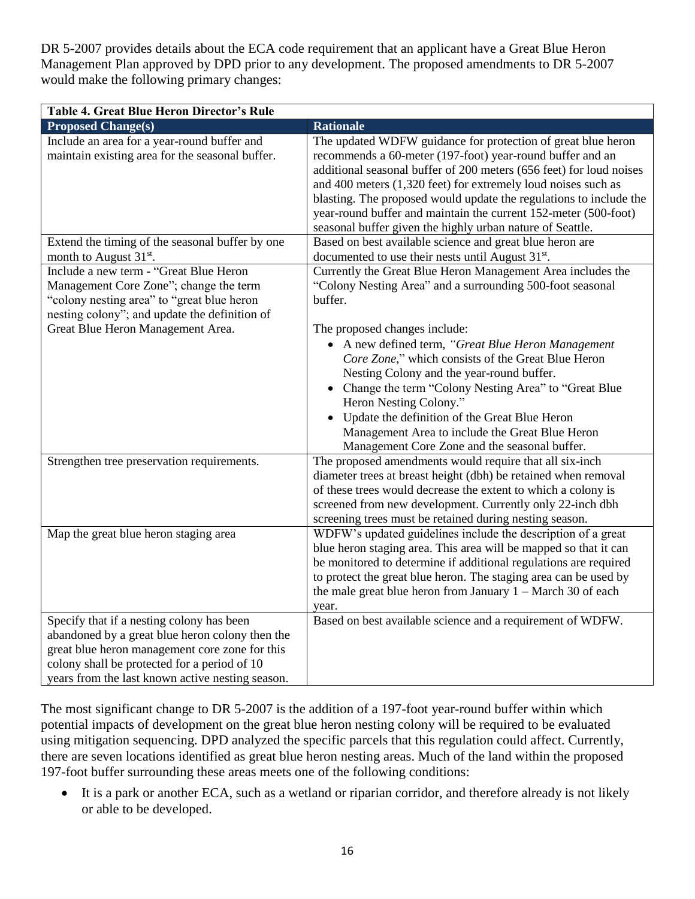DR 5-2007 provides details about the ECA code requirement that an applicant have a Great Blue Heron Management Plan approved by DPD prior to any development. The proposed amendments to DR 5-2007 would make the following primary changes:

| Table 4. Great Blue Heron Director's Rule                                                                                                                                                                                                          |                                                                                                                                                                                                                                                                                                                                                                                                                                                                                                                                                                        |  |  |
|----------------------------------------------------------------------------------------------------------------------------------------------------------------------------------------------------------------------------------------------------|------------------------------------------------------------------------------------------------------------------------------------------------------------------------------------------------------------------------------------------------------------------------------------------------------------------------------------------------------------------------------------------------------------------------------------------------------------------------------------------------------------------------------------------------------------------------|--|--|
| <b>Proposed Change(s)</b>                                                                                                                                                                                                                          | <b>Rationale</b>                                                                                                                                                                                                                                                                                                                                                                                                                                                                                                                                                       |  |  |
| Include an area for a year-round buffer and<br>maintain existing area for the seasonal buffer.                                                                                                                                                     | The updated WDFW guidance for protection of great blue heron<br>recommends a 60-meter (197-foot) year-round buffer and an<br>additional seasonal buffer of 200 meters (656 feet) for loud noises<br>and 400 meters (1,320 feet) for extremely loud noises such as<br>blasting. The proposed would update the regulations to include the<br>year-round buffer and maintain the current 152-meter (500-foot)<br>seasonal buffer given the highly urban nature of Seattle.                                                                                                |  |  |
| Extend the timing of the seasonal buffer by one<br>month to August 31 <sup>st</sup> .                                                                                                                                                              | Based on best available science and great blue heron are<br>documented to use their nests until August 31 <sup>st</sup> .                                                                                                                                                                                                                                                                                                                                                                                                                                              |  |  |
| Include a new term - "Great Blue Heron<br>Management Core Zone"; change the term<br>"colony nesting area" to "great blue heron<br>nesting colony"; and update the definition of<br>Great Blue Heron Management Area.                               | Currently the Great Blue Heron Management Area includes the<br>"Colony Nesting Area" and a surrounding 500-foot seasonal<br>buffer.<br>The proposed changes include:<br>• A new defined term, "Great Blue Heron Management<br>Core Zone," which consists of the Great Blue Heron<br>Nesting Colony and the year-round buffer.<br>• Change the term "Colony Nesting Area" to "Great Blue<br>Heron Nesting Colony."<br>Update the definition of the Great Blue Heron<br>Management Area to include the Great Blue Heron<br>Management Core Zone and the seasonal buffer. |  |  |
| Strengthen tree preservation requirements.                                                                                                                                                                                                         | The proposed amendments would require that all six-inch<br>diameter trees at breast height (dbh) be retained when removal<br>of these trees would decrease the extent to which a colony is<br>screened from new development. Currently only 22-inch dbh<br>screening trees must be retained during nesting season.                                                                                                                                                                                                                                                     |  |  |
| Map the great blue heron staging area                                                                                                                                                                                                              | WDFW's updated guidelines include the description of a great<br>blue heron staging area. This area will be mapped so that it can<br>be monitored to determine if additional regulations are required<br>to protect the great blue heron. The staging area can be used by<br>the male great blue heron from January $1 - March 30$ of each<br>year.                                                                                                                                                                                                                     |  |  |
| Specify that if a nesting colony has been<br>abandoned by a great blue heron colony then the<br>great blue heron management core zone for this<br>colony shall be protected for a period of 10<br>years from the last known active nesting season. | Based on best available science and a requirement of WDFW.                                                                                                                                                                                                                                                                                                                                                                                                                                                                                                             |  |  |

The most significant change to DR 5-2007 is the addition of a 197-foot year-round buffer within which potential impacts of development on the great blue heron nesting colony will be required to be evaluated using mitigation sequencing. DPD analyzed the specific parcels that this regulation could affect. Currently, there are seven locations identified as great blue heron nesting areas. Much of the land within the proposed 197-foot buffer surrounding these areas meets one of the following conditions:

 It is a park or another ECA, such as a wetland or riparian corridor, and therefore already is not likely or able to be developed.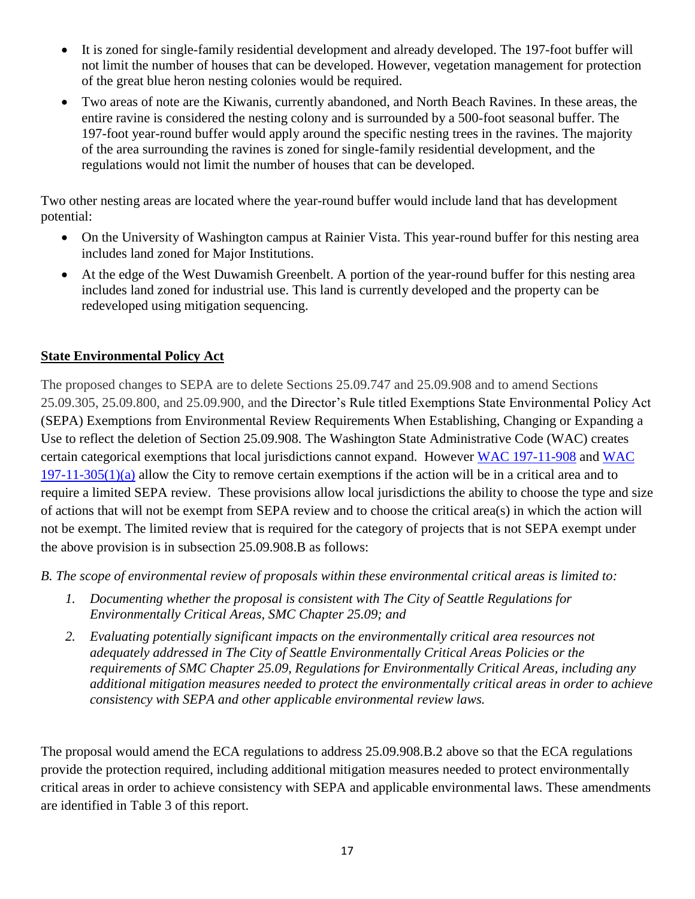- It is zoned for single-family residential development and already developed. The 197-foot buffer will not limit the number of houses that can be developed. However, vegetation management for protection of the great blue heron nesting colonies would be required.
- Two areas of note are the Kiwanis, currently abandoned, and North Beach Ravines. In these areas, the entire ravine is considered the nesting colony and is surrounded by a 500-foot seasonal buffer. The 197-foot year-round buffer would apply around the specific nesting trees in the ravines. The majority of the area surrounding the ravines is zoned for single-family residential development, and the regulations would not limit the number of houses that can be developed.

Two other nesting areas are located where the year-round buffer would include land that has development potential:

- On the University of Washington campus at Rainier Vista. This year-round buffer for this nesting area includes land zoned for Major Institutions.
- At the edge of the West Duwamish Greenbelt. A portion of the year-round buffer for this nesting area includes land zoned for industrial use. This land is currently developed and the property can be redeveloped using mitigation sequencing.

# **State Environmental Policy Act**

The proposed changes to SEPA are to delete Sections 25.09.747 and 25.09.908 and to amend Sections 25.09.305, 25.09.800, and 25.09.900, and the Director's Rule titled Exemptions State Environmental Policy Act (SEPA) Exemptions from Environmental Review Requirements When Establishing, Changing or Expanding a Use to reflect the deletion of Section 25.09.908. The Washington State Administrative Code (WAC) creates certain categorical exemptions that local jurisdictions cannot expand. However [WAC 197-11-908](http://apps.leg.wa.gov/WAC/default.aspx?cite=197-11-908) and [WAC](http://apps.leg.wa.gov/WAC/default.aspx?cite=197-11-305)   $197-11-305(1)(a)$  allow the City to remove certain exemptions if the action will be in a critical area and to require a limited SEPA review. These provisions allow local jurisdictions the ability to choose the type and size of actions that will not be exempt from SEPA review and to choose the critical area(s) in which the action will not be exempt. The limited review that is required for the category of projects that is not SEPA exempt under the above provision is in subsection 25.09.908.B as follows:

*B. The scope of environmental review of proposals within these environmental critical areas is limited to:* 

- *1. Documenting whether the proposal is consistent with The City of Seattle Regulations for Environmentally Critical Areas, SMC Chapter 25.09; and*
- *2. Evaluating potentially significant impacts on the environmentally critical area resources not adequately addressed in The City of Seattle Environmentally Critical Areas Policies or the requirements of SMC Chapter 25.09, Regulations for Environmentally Critical Areas, including any additional mitigation measures needed to protect the environmentally critical areas in order to achieve consistency with SEPA and other applicable environmental review laws.*

The proposal would amend the ECA regulations to address 25.09.908.B.2 above so that the ECA regulations provide the protection required, including additional mitigation measures needed to protect environmentally critical areas in order to achieve consistency with SEPA and applicable environmental laws. These amendments are identified in Table 3 of this report.